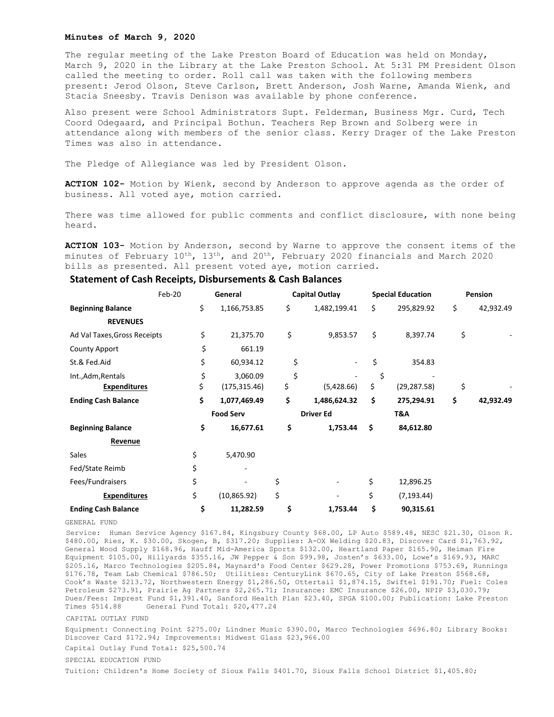## **Minutes of March 9, 2020**

The regular meeting of the Lake Preston Board of Education was held on Monday, March 9, 2020 in the Library at the Lake Preston School. At 5:31 PM President Olson called the meeting to order. Roll call was taken with the following members present: Jerod Olson, Steve Carlson, Brett Anderson, Josh Warne, Amanda Wienk, and Stacia Sneesby. Travis Denison was available by phone conference.

Also present were School Administrators Supt. Felderman, Business Mgr. Curd, Tech Coord Odegaard, and Principal Bothun. Teachers Rep Brown and Solberg were in attendance along with members of the senior class. Kerry Drager of the Lake Preston Times was also in attendance.

The Pledge of Allegiance was led by President Olson.

**ACTION 102-** Motion by Wienk, second by Anderson to approve agenda as the order of business. All voted aye, motion carried.

There was time allowed for public comments and conflict disclosure, with none being heard.

**ACTION 103-** Motion by Anderson, second by Warne to approve the consent items of the minutes of February  $10^{th}$ ,  $13^{th}$ , and  $20^{th}$ , February 2020 financials and March 2020 bills as presented. All present voted aye, motion carried.

## **Statement of Cash Receipts, Disbursements & Cash Balances**

|                              | Feb-20<br>General |                  | Capital Outlay |                  | <b>Special Education</b> |              | Pension |           |
|------------------------------|-------------------|------------------|----------------|------------------|--------------------------|--------------|---------|-----------|
| <b>Beginning Balance</b>     | \$                | 1,166,753.85     | \$             | 1,482,199.41     | \$                       | 295,829.92   | \$      | 42,932.49 |
| <b>REVENUES</b>              |                   |                  |                |                  |                          |              |         |           |
| Ad Val Taxes, Gross Receipts |                   | \$<br>21,375.70  | \$             | 9,853.57         | \$                       | 8,397.74     | \$      |           |
| <b>County Apport</b>         |                   | \$<br>661.19     |                |                  |                          |              |         |           |
| St.& Fed.Aid                 |                   | \$<br>60,934.12  | \$             |                  | \$                       | 354.83       |         |           |
| Int., Adm, Rentals           |                   | \$<br>3,060.09   | \$             |                  | \$                       |              |         |           |
| <b>Expenditures</b>          | \$                | (175, 315.46)    | \$             | (5,428.66)       | \$                       | (29, 287.58) | \$      |           |
| <b>Ending Cash Balance</b>   | \$                | 1,077,469.49     | \$             | 1,486,624.32     | \$                       | 275,294.91   | \$      | 42,932.49 |
|                              |                   | <b>Food Serv</b> |                | <b>Driver Ed</b> |                          | T&A          |         |           |
| <b>Beginning Balance</b>     |                   | \$<br>16,677.61  | \$             | 1,753.44         | \$                       | 84,612.80    |         |           |
| Revenue                      |                   |                  |                |                  |                          |              |         |           |
| Sales                        | \$                | 5,470.90         |                |                  |                          |              |         |           |
| Fed/State Reimb              | \$                |                  |                |                  |                          |              |         |           |
| Fees/Fundraisers             | \$                |                  | \$             |                  | \$                       | 12,896.25    |         |           |
| <b>Expenditures</b>          | \$                | (10, 865.92)     | \$             |                  | \$                       | (7, 193.44)  |         |           |
| <b>Ending Cash Balance</b>   |                   | \$<br>11,282.59  | \$             | 1,753.44         | \$                       | 90,315.61    |         |           |

GENERAL FUND

Service: Human Service Agency \$167.84, Kingsbury County \$68.00, LP Auto \$589.48, NESC \$21.30, Olson R. \$480.00, Ries, K. \$30.00, Skogen, B, \$317.20; Supplies: A-OX Welding \$20.83, Discover Card \$1,763.92, General Wood Supply \$168.96, Hauff Mid-America Sports \$132.00, Heartland Paper \$165.90, Heiman Fire Equipment \$105.00, Hillyards \$355.16, JW Pepper & Son \$99.98, Josten's \$633.00, Lowe's \$169.93, MARC \$205.16, Marco Technologies \$205.84, Maynard's Food Center \$629.28, Power Promotions \$753.69, Runnings \$176.78, Team Lab Chemical \$786.50; Utilities: CenturyLink \$670.65, City of Lake Preston \$568.68, Cook's Waste \$213.72, Northwestern Energy \$1,286.50, Ottertail \$1,874.15, Swiftel \$191.70; Fuel: Coles Petroleum \$273.91, Prairie Ag Partners \$2,265.71; Insurance: EMC Insurance \$26.00, NPIP \$3,030.79; Dues/Fees: Imprest Fund \$1,391.40, Sanford Health Plan \$23.40, SPGA \$100.00; Publication: Lake Preston Times \$514.88 General Fund Total: \$20,477.24

## CAPITAL OUTLAY FUND

Equipment: Connecting Point \$275.00; Lindner Music \$390.00, Marco Technologies \$696.80; Library Books: Discover Card \$172.94; Improvements: Midwest Glass \$23,966.00

Capital Outlay Fund Total: \$25,500.74

## SPECIAL EDUCATION FUND

Tuition: Children's Home Society of Sioux Falls \$401.70, Sioux Falls School District \$1,405.80;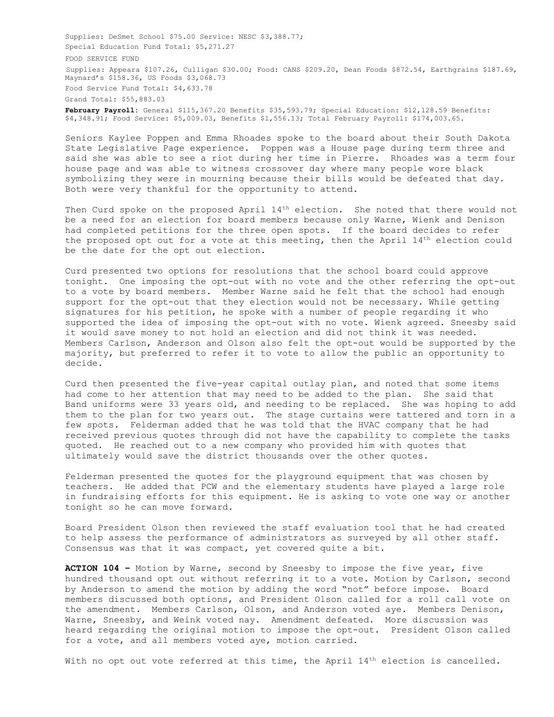Supplies: DeSmet School \$75.00 Service: NESC \$3,388.77; Special Education Fund Total: \$5,271.27 FOOD SERVICE FUND Supplies: Appeara \$107.26, Culligan \$30.00; Food: CANS \$209.20, Dean Foods \$872.54, Earthgrains \$187.69, Maynard's \$158.36, US Foods \$3,068.73 Food Service Fund Total: \$4,633.78 Grand Total: \$55,883.03

**February Payroll:** General \$115,367.20 Benefits \$35,593.79; Special Education: \$12,128.59 Benefits: \$4,348.91; Food Service: \$5,009.03, Benefits \$1,556.13; Total February Payroll: \$174,003.65.

Seniors Kaylee Poppen and Emma Rhoades spoke to the board about their South Dakota State Legislative Page experience. Poppen was a House page during term three and said she was able to see a riot during her time in Pierre. Rhoades was a term four house page and was able to witness crossover day where many people wore black symbolizing they were in mourning because their bills would be defeated that day. Both were very thankful for the opportunity to attend.

Then Curd spoke on the proposed April 14<sup>th</sup> election. She noted that there would not be a need for an election for board members because only Warne, Wienk and Denison had completed petitions for the three open spots. If the board decides to refer the proposed opt out for a vote at this meeting, then the April 14<sup>th</sup> election could be the date for the opt out election.

Curd presented two options for resolutions that the school board could approve tonight. One imposing the opt-out with no vote and the other referring the opt-out to a vote by board members. Member Warne said he felt that the school had enough support for the opt-out that they election would not be necessary. While getting signatures for his petition, he spoke with a number of people regarding it who supported the idea of imposing the opt-out with no vote. Wienk agreed. Sneesby said it would save money to not hold an election and did not think it was needed. Members Carlson, Anderson and Olson also felt the opt-out would be supported by the majority, but preferred to refer it to vote to allow the public an opportunity to decide.

Curd then presented the five-year capital outlay plan, and noted that some items had come to her attention that may need to be added to the plan. She said that Band uniforms were 33 years old, and needing to be replaced. She was hoping to add them to the plan for two years out. The stage curtains were tattered and torn in a few spots. Felderman added that he was told that the HVAC company that he had received previous quotes through did not have the capability to complete the tasks quoted. He reached out to a new company who provided him with quotes that ultimately would save the district thousands over the other quotes.

Felderman presented the quotes for the playground equipment that was chosen by teachers. He added that PCW and the elementary students have played a large role in fundraising efforts for this equipment. He is asking to vote one way or another tonight so he can move forward.

Board President Olson then reviewed the staff evaluation tool that he had created to help assess the performance of administrators as surveyed by all other staff. Consensus was that it was compact, yet covered quite a bit.

**ACTION 104 –** Motion by Warne, second by Sneesby to impose the five year, five hundred thousand opt out without referring it to a vote. Motion by Carlson, second by Anderson to amend the motion by adding the word "not" before impose. Board members discussed both options, and President Olson called for a roll call vote on the amendment. Members Carlson, Olson, and Anderson voted aye. Members Denison, Warne, Sneesby, and Weink voted nay. Amendment defeated. More discussion was heard regarding the original motion to impose the opt-out. President Olson called for a vote, and all members voted aye, motion carried.

With no opt out vote referred at this time, the April 14<sup>th</sup> election is cancelled.